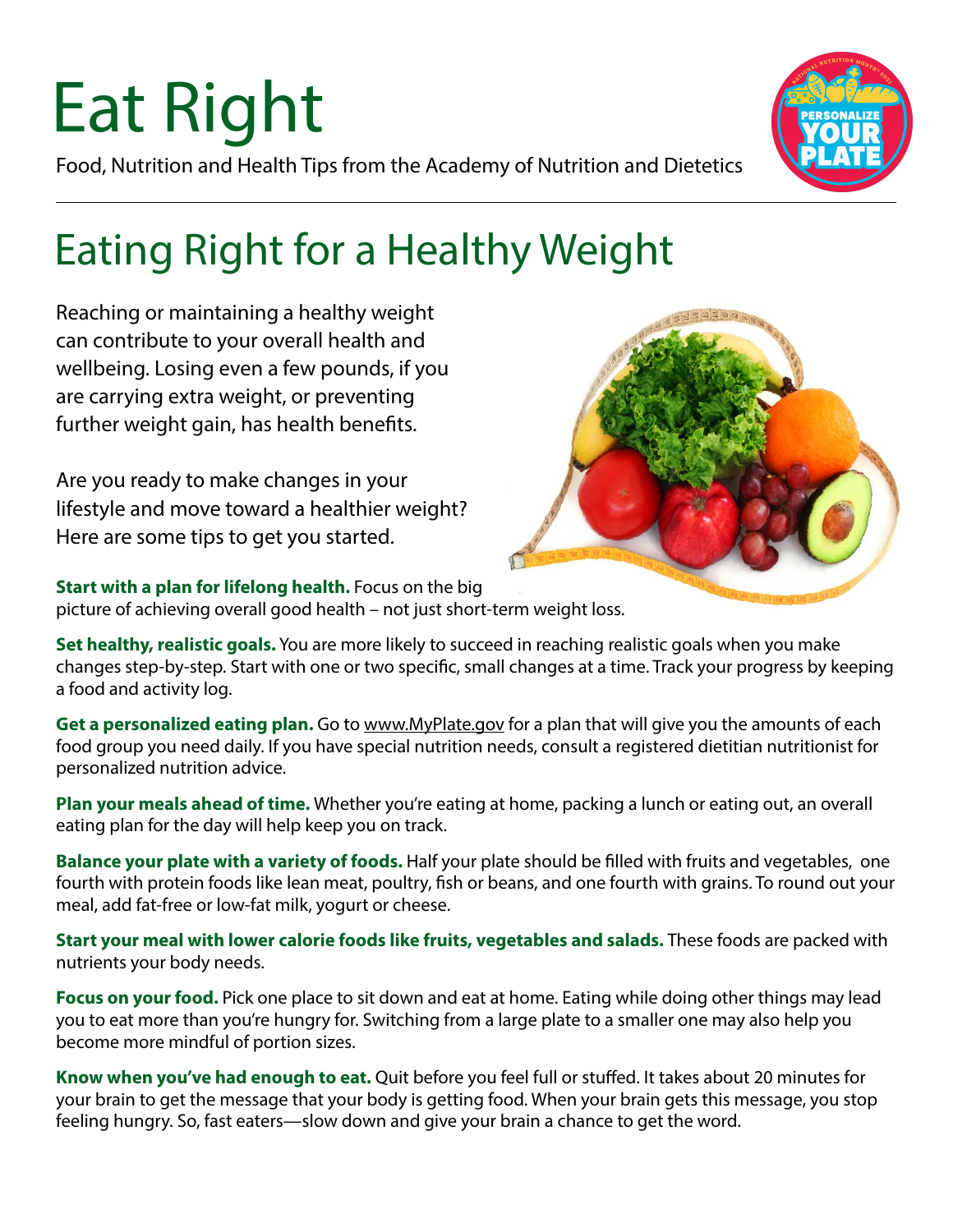# Eat Right

Food, Nutrition and Health Tips from the Academy of Nutrition and Dietetics



### Eating Right for a Healthy Weight

Reaching or maintaining a healthy weight can contribute to your overall health and wellbeing. Losing even a few pounds, if you are carrying extra weight, or preventing further weight gain, has health benefits.

Are you ready to make changes in your lifestyle and move toward a healthier weight? Here are some tips to get you started.



**Start with a plan for lifelong health.** Focus on the big

picture of achieving overall good health – not just short-term weight loss.

**Set healthy, realistic goals.** You are more likely to succeed in reaching realistic goals when you make changes step-by-step. Start with one or two specific, small changes at a time. Track your progress by keeping a food and activity log.

**Get a personalized eating plan.** Go to [www.MyPlate.gov](http://www.MyPlate.gov) for a plan that will give you the amounts of each food group you need daily. If you have special nutrition needs, consult a registered dietitian nutritionist for personalized nutrition advice.

**Plan your meals ahead of time.** Whether you're eating at home, packing a lunch or eating out, an overall eating plan for the day will help keep you on track.

**Balance your plate with a variety of foods.** Half your plate should be filled with fruits and vegetables, one fourth with protein foods like lean meat, poultry, fish or beans, and one fourth with grains. To round out your meal, add fat-free or low-fat milk, yogurt or cheese.

**Start your meal with lower calorie foods like fruits, vegetables and salads.** These foods are packed with nutrients your body needs.

**Focus on your food.** Pick one place to sit down and eat at home. Eating while doing other things may lead you to eat more than you're hungry for. Switching from a large plate to a smaller one may also help you become more mindful of portion sizes.

**Know when you've had enough to eat.** Quit before you feel full or stuffed. It takes about 20 minutes for your brain to get the message that your body is getting food. When your brain gets this message, you stop feeling hungry. So, fast eaters—slow down and give your brain a chance to get the word.